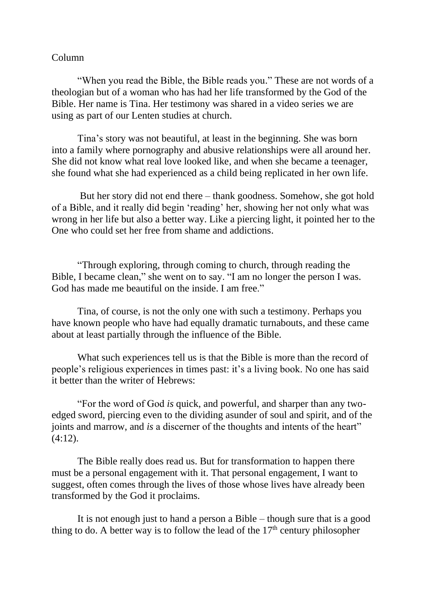## Column

"When you read the Bible, the Bible reads you." These are not words of a theologian but of a woman who has had her life transformed by the God of the Bible. Her name is Tina. Her testimony was shared in a video series we are using as part of our Lenten studies at church.

Tina's story was not beautiful, at least in the beginning. She was born into a family where pornography and abusive relationships were all around her. She did not know what real love looked like, and when she became a teenager, she found what she had experienced as a child being replicated in her own life.

But her story did not end there – thank goodness. Somehow, she got hold of a Bible, and it really did begin 'reading' her, showing her not only what was wrong in her life but also a better way. Like a piercing light, it pointed her to the One who could set her free from shame and addictions.

"Through exploring, through coming to church, through reading the Bible, I became clean," she went on to say. "I am no longer the person I was. God has made me beautiful on the inside. I am free."

Tina, of course, is not the only one with such a testimony. Perhaps you have known people who have had equally dramatic turnabouts, and these came about at least partially through the influence of the Bible.

What such experiences tell us is that the Bible is more than the record of people's religious experiences in times past: it's a living book. No one has said it better than the writer of Hebrews:

"For the word of God *is* quick, and powerful, and sharper than any twoedged sword, piercing even to the dividing asunder of soul and spirit, and of the joints and marrow, and *is* a discerner of the thoughts and intents of the heart"  $(4:12)$ .

The Bible really does read us. But for transformation to happen there must be a personal engagement with it. That personal engagement, I want to suggest, often comes through the lives of those whose lives have already been transformed by the God it proclaims.

It is not enough just to hand a person a Bible – though sure that is a good thing to do. A better way is to follow the lead of the  $17<sup>th</sup>$  century philosopher